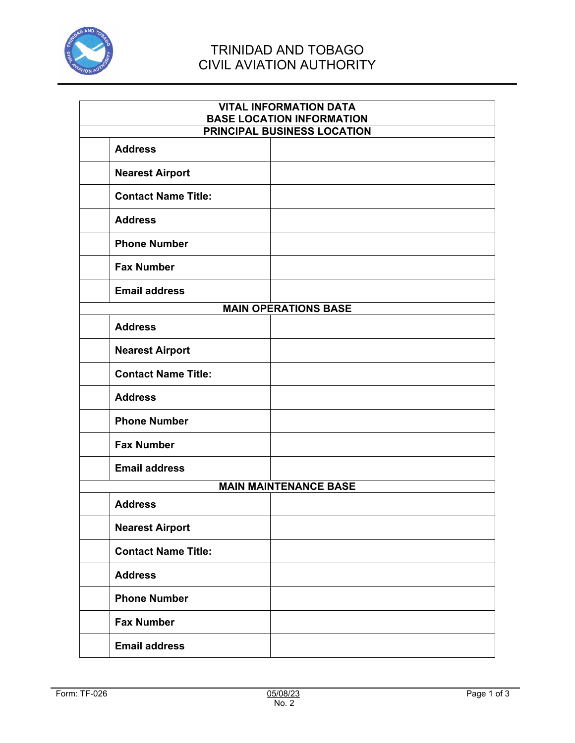

## TRINIDAD AND TOBAGO CIVIL AVIATION AUTHORITY

| <b>VITAL INFORMATION DATA</b><br><b>BASE LOCATION INFORMATION</b> |  |  |
|-------------------------------------------------------------------|--|--|
| <b>PRINCIPAL BUSINESS LOCATION</b>                                |  |  |
| <b>Address</b>                                                    |  |  |
| <b>Nearest Airport</b>                                            |  |  |
| <b>Contact Name Title:</b>                                        |  |  |
| <b>Address</b>                                                    |  |  |
| <b>Phone Number</b>                                               |  |  |
| <b>Fax Number</b>                                                 |  |  |
| <b>Email address</b>                                              |  |  |
| <b>MAIN OPERATIONS BASE</b>                                       |  |  |
| <b>Address</b>                                                    |  |  |
| <b>Nearest Airport</b>                                            |  |  |
| <b>Contact Name Title:</b>                                        |  |  |
| <b>Address</b>                                                    |  |  |
| <b>Phone Number</b>                                               |  |  |
| <b>Fax Number</b>                                                 |  |  |
| <b>Email address</b>                                              |  |  |
| <b>MAIN MAINTENANCE BASE</b>                                      |  |  |
| <b>Address</b>                                                    |  |  |
| <b>Nearest Airport</b>                                            |  |  |
| <b>Contact Name Title:</b>                                        |  |  |
| <b>Address</b>                                                    |  |  |
| <b>Phone Number</b>                                               |  |  |
| <b>Fax Number</b>                                                 |  |  |
| <b>Email address</b>                                              |  |  |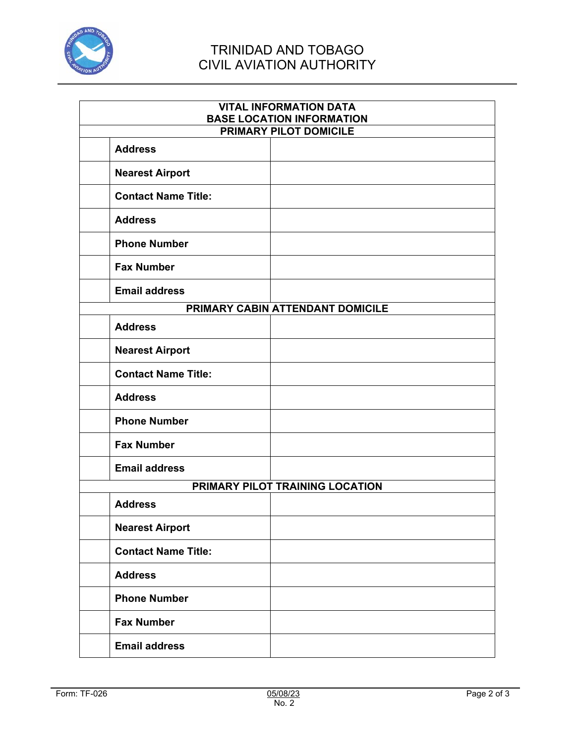

## TRINIDAD AND TOBAGO CIVIL AVIATION AUTHORITY

| <b>VITAL INFORMATION DATA</b><br><b>BASE LOCATION INFORMATION</b> |  |  |
|-------------------------------------------------------------------|--|--|
| <b>PRIMARY PILOT DOMICILE</b>                                     |  |  |
| <b>Address</b>                                                    |  |  |
| <b>Nearest Airport</b>                                            |  |  |
| <b>Contact Name Title:</b>                                        |  |  |
| <b>Address</b>                                                    |  |  |
| <b>Phone Number</b>                                               |  |  |
| <b>Fax Number</b>                                                 |  |  |
| <b>Email address</b>                                              |  |  |
| PRIMARY CABIN ATTENDANT DOMICILE                                  |  |  |
| <b>Address</b>                                                    |  |  |
| <b>Nearest Airport</b>                                            |  |  |
| <b>Contact Name Title:</b>                                        |  |  |
| <b>Address</b>                                                    |  |  |
| <b>Phone Number</b>                                               |  |  |
| <b>Fax Number</b>                                                 |  |  |
| <b>Email address</b>                                              |  |  |
| PRIMARY PILOT TRAINING LOCATION                                   |  |  |
| <b>Address</b>                                                    |  |  |
| <b>Nearest Airport</b>                                            |  |  |
| <b>Contact Name Title:</b>                                        |  |  |
| <b>Address</b>                                                    |  |  |
| <b>Phone Number</b>                                               |  |  |
| <b>Fax Number</b>                                                 |  |  |
| <b>Email address</b>                                              |  |  |